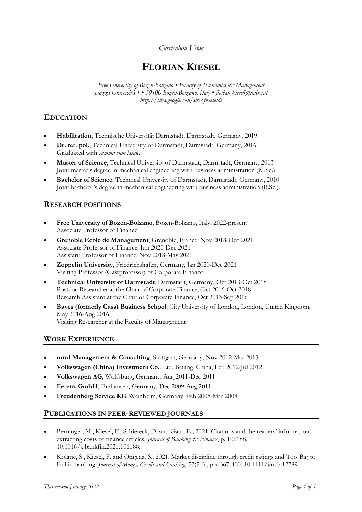#### *Curriculum Vitae*

# **FLORIAN KIESEL**

*Free University of Bozen-Bolzano • Faculty of Economics & Management piazza Università 1 • 39100 Bozen-Bolzano, Italy • florian.kiesel@unibz.it http://sites.google.com/site/fkieselde*

## **EDUCATION**

- **Habilitation**, Technische Universität Darmstadt, Darmstadt, Germany, 2019
- **Dr. rer. pol.**, Technical University of Darmstadt, Darmstadt, Germany, 2016 Graduated with *summa cum laude*.
- **Master of Science**, Technical University of Darmstadt, Darmstadt, Germany, 2013 Joint master's degree in mechanical engineering with business administration (M.Sc.)
- **Bachelor of Science**, Technical University of Darmstadt, Darmstadt, Germany, 2010 Joint bachelor's degree in mechanical engineering with business administration (B.Sc.).

## **RESEARCH POSITIONS**

- **Free University of Bozen-Bolzano**, Bozen-Bolzano, Italy, 2022-present Associate Professor of Finance
- **Grenoble Ecole de Management**, Grenoble, France, Nov 2018-Dec 2021 Associate Professor of Finance, Jun 2020-Dec 2021 Assistant Professor of Finance, Nov 2018-May 2020
- **Zeppelin University**, Friedrichshafen, Germany, Jan 2020-Dec 2021 Visiting Professor (Gastprofessor) of Corporate Finance
- **Technical University of Darmstadt**, Darmstadt, Germany, Oct 2013-Oct 2018 Postdoc Researcher at the Chair of Corporate Finance, Oct 2016-Oct 2018 Research Assistant at the Chair of Corporate Finance, Oct 2013-Sep 2016
- **Bayes (formerly Cass) Business School**, City University of London, London, United Kingdom, May 2016-Aug 2016 Visiting Researcher at the Faculty of Management

## **WORK EXPERIENCE**

- **mm1 Management & Consulting**, Stuttgart, Germany, Nov 2012-Mar 2013
- **Volkswagen (China) Investment Co.**, Ltd, Beijing, China, Feb 2012-Jul 2012
- **Volkswagen AG**, Wolfsburg, Germany, Aug 2011-Dec 2011
- **Ferenz GmbH**, Erzhausen, Germany, Dec 2009-Aug 2011
- **Freudenberg Service KG**, Weinheim, Germany, Feb 2008-Mar 2008

#### **PUBLICATIONS IN PEER-REVIEWED JOURNALS**

- Berninger, M., Kiesel, F., Schiereck, D. and Gaar, E., 2021. Citations and the readers' informationextracting costs of finance articles. *Journal of Banking & Finance*, p. 106188. 10.1016/j.jbankfin.2021.106188.
- Kolaric, S., Kiesel, F. and Ongena, S., 2021. Market discipline through credit ratings and Too-Big-to-Fail in banking. *Journal of Money, Credit and Banking*, 53(2-3), pp. 367-400. 10.1111/jmcb.12789.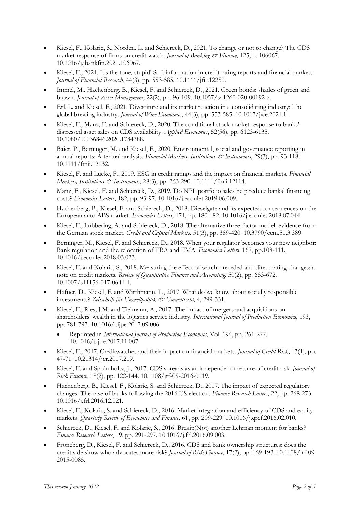- Kiesel, F., Kolaric, S., Norden, L. and Schiereck, D., 2021. To change or not to change? The CDS market response of firms on credit watch. *Journal of Banking & Finance*, 125, p. 106067. 10.1016/j.jbankfin.2021.106067.
- Kiesel, F., 2021. It's the tone, stupid! Soft information in credit rating reports and financial markets. *Journal of Financial Research*, 44(3), pp. 553-585. 10.1111/jfir.12250.
- Immel, M., Hachenberg, B., Kiesel, F. and Schiereck, D., 2021. Green bonds: shades of green and brown. *Journal of Asset Management*, 22(2), pp. 96-109. 10.1057/s41260-020-00192-z.
- Erl, L. and Kiesel, F., 2021. Divestiture and its market reaction in a consolidating industry: The global brewing industry. *Journal of Wine Economics*, 44(3), pp. 553-585. 10.1017/jwe.2021.1.
- Kiesel, F., Manz, F. and Schiereck, D., 2020. The conditional stock market response to banks' distressed asset sales on CDS availability. *Applied Economics*, 52(56), pp. 6123-6135. 10.1080/00036846.2020.1784388.
- Baier, P., Berninger, M. and Kiesel, F., 2020. Environmental, social and governance reporting in annual reports: A textual analysis. *Financial Markets, Institutions & Instruments*, 29(3), pp. 93-118. 10.1111/fmii.12132.
- Kiesel, F. and Lücke, F., 2019. ESG in credit ratings and the impact on financial markets. *Financial Markets, Institutions & Instruments*, 28(3), pp. 263-290. 10.1111/fmii.12114.
- Manz, F., Kiesel, F. and Schiereck, D., 2019. Do NPL portfolio sales help reduce banks' financing costs? *Economics Letters*, 182, pp. 93-97. 10.1016/j.econlet.2019.06.009.
- Hachenberg, B., Kiesel, F. and Schiereck, D., 2018. Dieselgate and its expected consequences on the European auto ABS market. *Economics Letters*, 171, pp. 180-182. 10.1016/j.econlet.2018.07.044.
- Kiesel, F., Lübbering, A. and Schiereck, D., 2018. The alternative three-factor model: evidence from the German stock market. *Credit and Capital Markets*, 51(3), pp. 389-420. 10.3790/ccm.51.3.389.
- Berninger, M., Kiesel, F. and Schiereck, D., 2018. When your regulator becomes your new neighbor: Bank regulation and the relocation of EBA and EMA. *Economics Letters*, 167, pp.108-111. 10.1016/j.econlet.2018.03.023.
- Kiesel, F. and Kolaric, S., 2018. Measuring the effect of watch-preceded and direct rating changes: a note on credit markets. *Review of Quantitative Finance and Accounting*, 50(2), pp. 653-672. 10.1007/s11156-017-0641-1.
- Häfner, D., Kiesel, F. and Wirthmann, L., 2017. What do we know about socially responsible investments? *Zeitschrift für Umweltpolitik & Umweltrecht*, 4, 299-331.
- Kiesel, F., Ries, J.M. and Tielmann, A., 2017. The impact of mergers and acquisitions on shareholders' wealth in the logistics service industry. *International Journal of Production Economics*, 193, pp. 781-797. 10.1016/j.ijpe.2017.09.006.
	- Reprinted in *International Journal of Production Economics*, Vol. 194, pp. 261-277. 10.1016/j.ijpe.2017.11.007.
- Kiesel, F., 2017. Creditwatches and their impact on financial markets. *Journal of Credit Risk*, 13(1), pp. 47-71. 10.21314/jcr.2017.219.
- Kiesel, F. and Spohnholtz, J., 2017. CDS spreads as an independent measure of credit risk. *Journal of Risk Finance*, 18(2), pp. 122-144. 10.1108/jrf-09-2016-0119.
- Hachenberg, B., Kiesel, F., Kolaric, S. and Schiereck, D., 2017. The impact of expected regulatory changes: The case of banks following the 2016 US election. *Finance Research Letters*, 22, pp. 268-273. 10.1016/j.frl.2016.12.021.
- Kiesel, F., Kolaric, S. and Schiereck, D., 2016. Market integration and efficiency of CDS and equity markets. *Quarterly Review of Economics and Finance*, 61, pp. 209-229. 10.1016/j.qref.2016.02.010.
- Schiereck, D., Kiesel, F. and Kolaric, S., 2016. Brexit:(Not) another Lehman moment for banks? *Finance Research Letters*, 19, pp. 291-297. 10.1016/j.frl.2016.09.003.
- Froneberg, D., Kiesel, F. and Schiereck, D., 2016. CDS and bank ownership structures: does the credit side show who advocates more risk? *Journal of Risk Finance*, 17(2), pp. 169-193. 10.1108/jrf-09- 2015-0085.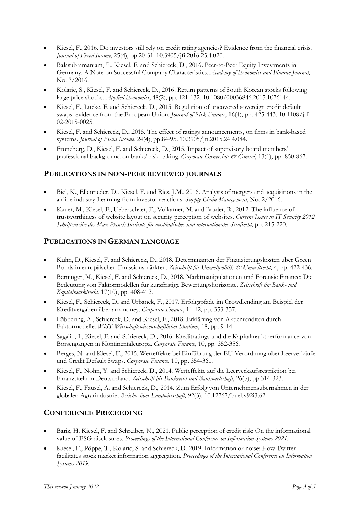- Kiesel, F., 2016. Do investors still rely on credit rating agencies? Evidence from the financial crisis. *Journal of Fixed Income*, 25(4), pp.20-31. 10.3905/jfi.2016.25.4.020.
- Balasubramaniam, P., Kiesel, F. and Schiereck, D., 2016. Peer-to-Peer Equity Investments in Germany. A Note on Successful Company Characteristics. *Academy of Economics and Finance Journal*, No. 7/2016.
- Kolaric, S., Kiesel, F. and Schiereck, D., 2016. Return patterns of South Korean stocks following large price shocks. *Applied Economics*, 48(2), pp. 121-132. 10.1080/00036846.2015.1076144.
- Kiesel, F., Lücke, F. and Schiereck, D., 2015. Regulation of uncovered sovereign credit default swaps–evidence from the European Union. *Journal of Risk Finance*, 16(4), pp. 425-443. 10.1108/jrf-02-2015-0025.
- Kiesel, F. and Schiereck, D., 2015. The effect of ratings announcements, on firms in bank-based systems. *Journal of Fixed Income*, 24(4), pp.84-95. 10.3905/jfi.2015.24.4.084.
- Froneberg, D., Kiesel, F. and Schiereck, D., 2015. Impact of supervisory board members' professional background on banks' risk- taking. *Corporate Ownership & Control*, 13(1), pp. 850-867.

#### **PUBLICATIONS IN NON-PEER REVIEWED JOURNALS**

- Biel, K., Ellenrieder, D., Kiesel, F. and Ries, J.M., 2016. Analysis of mergers and acquisitions in the airline industry-Learning from investor reactions. *Supply Chain Management*, No. 2/2016.
- Kauer, M., Kiesel, F., Ueberschaer, F., Volkamer, M. and Bruder, R., 2012. The influence of trustworthiness of website layout on security perception of websites. *Current Issues in IT Security 2012 Schriftenreihe des Max-Planck-Instituts für ausländisches und internationales Strafrecht*, pp. 215-220.

## **PUBLICATIONS IN GERMAN LANGUAGE**

- Kuhn, D., Kiesel, F. and Schiereck, D., 2018. Determinanten der Finanzierungskosten über Green Bonds in europäischen Emissionsmärkten. *Zeitschrift für Umweltpolitik & Umweltrecht*, 4, pp. 422-436.
- Berninger, M., Kiesel, F. and Schiereck, D., 2018. Marktmanipulationen und Forensic Finance: Die Bedeutung von Faktormodellen für kurzfristige Bewertungshorizonte. *Zeitschrift für Bank- und Kapitalmarktrecht*, 17(10), pp. 408-412.
- Kiesel, F., Schiereck, D. and Urbanek, F., 2017. Erfolgspfade im Crowdlending am Beispiel der Kreditvergaben über auxmoney. *Corporate Finance*, 11-12, pp. 353-357.
- Lübbering, A., Schiereck, D. and Kiesel, F., 2018. Erklärung von Aktienrenditen durch Faktormodelle. *WiST Wirtschaftswissenschaftliches Studium*, 18, pp. 9-14.
- Sagalin, I., Kiesel, F. and Schiereck, D., 2016. Kreditratings und die Kapitalmarktperformance von Börsengängen in Kontinentaleuropa. *Corporate Finance*, 10, pp. 352-356.
- Berges, N. and Kiesel, F., 2015. Werteffekte bei Einführung der EU-Verordnung über Leerverkäufe und Credit Default Swaps. *Corporate Finance*, 10, pp. 354-361.
- Kiesel, F., Nohn, Y. and Schiereck, D., 2014. Werteffekte auf die Leerverkaufsrestriktion bei Finanztiteln in Deutschland. *Zeitschrift für Bankrecht und Bankwirtschaft*, 26(5), pp.314-323.
- Kiesel, F., Fausel, A. and Schiereck, D., 2014. Zum Erfolg von Unternehmensübernahmen in der globalen Agrarindustrie. *Berichte über Landwirtschaft*, 92(3). 10.12767/buel.v92i3.62.

## **CONFERENCE PRECEEDING**

- Bariz, H. Kiesel, F. and Schreiber, N., 2021. Public perception of credit risk: On the informational value of ESG disclosures. *Proceedings of the International Conference on Information Systems 2021.*
- Kiesel, F., Pöppe, T., Kolaric, S. and Schiereck, D. 2019. Information or noise: How Twitter facilitates stock market information aggregation. *Proceedings of the International Conference on Information Systems 2019.*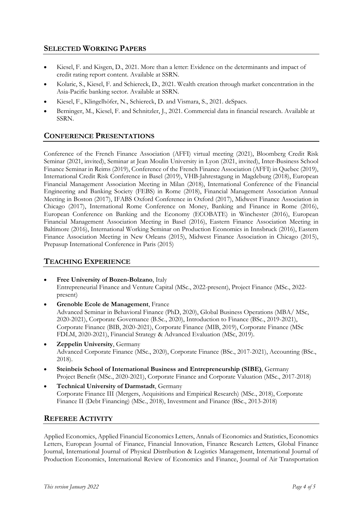## **SELECTED WORKING PAPERS**

- Kiesel, F. and Kisgen, D., 2021. More than a letter: Evidence on the determinants and impact of credit rating report content. Available at SSRN.
- Kolaric, S., Kiesel, F. and Schiereck, D., 2021. Wealth creation through market concentration in the Asia-Pacific banking sector. Available at SSRN.
- Kiesel, F., Klingelhöfer, N., Schiereck, D. and Vismara, S., 2021. deSpacs.
- Berninger, M., Kiesel, F. and Schnitzler, J., 2021. Commercial data in financial research. Available at SSRN.

# **CONFERENCE PRESENTATIONS**

Conference of the French Finance Association (AFFI) virtual meeting (2021), Bloomberg Credit Risk Seminar (2021, invited), Seminar at Jean Moulin University in Lyon (2021, invited), Inter-Business School Finance Seminar in Reims (2019), Conference of the French Finance Association (AFFI) in Quebec (2019), International Credit Risk Conference in Basel (2019), VHB-Jahrestagung in Magdeburg (2018), European Financial Management Association Meeting in Milan (2018), International Conference of the Financial Engineering and Banking Society (FEBS) in Rome (2018), Financial Management Association Annual Meeting in Boston (2017), IFABS Oxford Conference in Oxford (2017), Midwest Finance Association in Chicago (2017), International Rome Conference on Money, Banking and Finance in Rome (2016), European Conference on Banking and the Economy (ECOBATE) in Winchester (2016), European Financial Management Association Meeting in Basel (2016), Eastern Finance Association Meeting in Baltimore (2016), International Working Seminar on Production Economics in Innsbruck (2016), Eastern Finance Association Meeting in New Orleans (2015), Midwest Finance Association in Chicago (2015), Prepasup International Conference in Paris (2015)

## **TEACHING EXPERIENCE**

- **Free University of Bozen-Bolzano**, Italy Entrepreneurial Finance and Venture Capital (MSc., 2022-present), Project Finance (MSc., 2022 present)
- **Grenoble Ecole de Management**, France Advanced Seminar in Behavioral Finance (PhD, 2020), Global Business Operations (MBA/ MSc, 2020-2021), Corporate Governance (B.Sc., 2020), Introduction to Finance (BSc., 2019-2021), Corporate Finance (BIB, 2020-2021), Corporate Finance (MIB, 2019), Corporate Finance (MSc FDLM, 2020-2021), Financial Strategy & Advanced Evaluation (MSc, 2019).
- **Zeppelin University**, Germany Advanced Corporate Finance (MSc., 2020), Corporate Finance (BSc., 2017-2021), Accounting (BSc., 2018).
- **Steinbeis School of International Business and Entrepreneurship (SIBE)**, Germany Project Benefit (MSc., 2020-2021), Corporate Finance and Corporate Valuation (MSc., 2017-2018)
- **Technical University of Darmstadt**, Germany Corporate Finance III (Mergers, Acquisitions and Empirical Research) (MSc., 2018), Corporate Finance II (Debt Financing) (MSc., 2018), Investment and Finance (BSc., 2013-2018)

## **REFEREE ACTIVITY**

Applied Economics, Applied Financial Economics Letters, Annals of Economics and Statistics, Economics Letters, European Journal of Finance, Financial Innovation, Finance Research Letters, Global Finance Journal, International Journal of Physical Distribution & Logistics Management, International Journal of Production Economics, International Review of Economics and Finance, Journal of Air Transportation